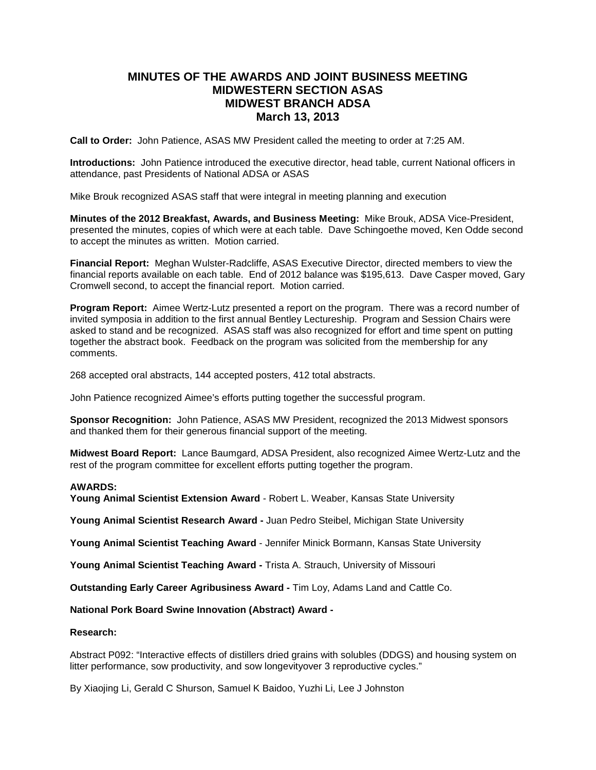# **MINUTES OF THE AWARDS AND JOINT BUSINESS MEETING MIDWESTERN SECTION ASAS MIDWEST BRANCH ADSA March 13, 2013**

**Call to Order:** John Patience, ASAS MW President called the meeting to order at 7:25 AM.

**Introductions:** John Patience introduced the executive director, head table, current National officers in attendance, past Presidents of National ADSA or ASAS

Mike Brouk recognized ASAS staff that were integral in meeting planning and execution

**Minutes of the 2012 Breakfast, Awards, and Business Meeting:** Mike Brouk, ADSA Vice-President, presented the minutes, copies of which were at each table. Dave Schingoethe moved, Ken Odde second to accept the minutes as written. Motion carried.

**Financial Report:** Meghan Wulster-Radcliffe, ASAS Executive Director, directed members to view the financial reports available on each table. End of 2012 balance was \$195,613. Dave Casper moved, Gary Cromwell second, to accept the financial report. Motion carried.

**Program Report:** Aimee Wertz-Lutz presented a report on the program. There was a record number of invited symposia in addition to the first annual Bentley Lectureship. Program and Session Chairs were asked to stand and be recognized. ASAS staff was also recognized for effort and time spent on putting together the abstract book. Feedback on the program was solicited from the membership for any comments.

268 accepted oral abstracts, 144 accepted posters, 412 total abstracts.

John Patience recognized Aimee's efforts putting together the successful program.

**Sponsor Recognition:** John Patience, ASAS MW President, recognized the 2013 Midwest sponsors and thanked them for their generous financial support of the meeting.

**Midwest Board Report:** Lance Baumgard, ADSA President, also recognized Aimee Wertz-Lutz and the rest of the program committee for excellent efforts putting together the program.

# **AWARDS:**

**Young Animal Scientist Extension Award** - Robert L. Weaber, Kansas State University

**Young Animal Scientist Research Award -** Juan Pedro Steibel, Michigan State University

**Young Animal Scientist Teaching Award** - Jennifer Minick Bormann, Kansas State University

**Young Animal Scientist Teaching Award -** Trista A. Strauch, University of Missouri

**Outstanding Early Career Agribusiness Award -** Tim Loy, Adams Land and Cattle Co.

**National Pork Board Swine Innovation (Abstract) Award -**

#### **Research:**

Abstract P092: "Interactive effects of distillers dried grains with solubles (DDGS) and housing system on litter performance, sow productivity, and sow longevityover 3 reproductive cycles."

By Xiaojing Li, Gerald C Shurson, Samuel K Baidoo, Yuzhi Li, Lee J Johnston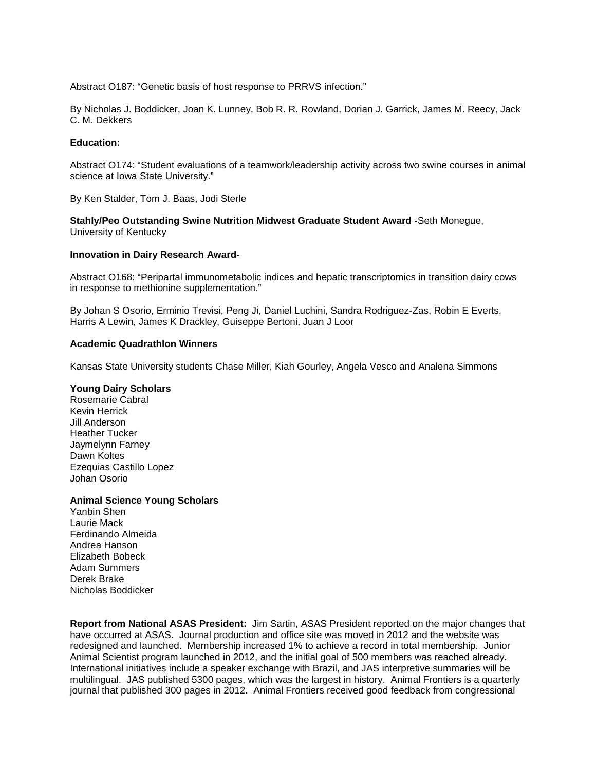Abstract O187: "Genetic basis of host response to PRRVS infection."

By Nicholas J. Boddicker, Joan K. Lunney, Bob R. R. Rowland, Dorian J. Garrick, James M. Reecy, Jack C. M. Dekkers

### **Education:**

Abstract O174: "Student evaluations of a teamwork/leadership activity across two swine courses in animal science at Iowa State University."

By Ken Stalder, Tom J. Baas, Jodi Sterle

**Stahly/Peo Outstanding Swine Nutrition Midwest Graduate Student Award -**Seth Monegue, University of Kentucky

#### **Innovation in Dairy Research Award-**

Abstract O168: "Peripartal immunometabolic indices and hepatic transcriptomics in transition dairy cows in response to methionine supplementation."

By Johan S Osorio, Erminio Trevisi, Peng Ji, Daniel Luchini, Sandra Rodriguez-Zas, Robin E Everts, Harris A Lewin, James K Drackley, Guiseppe Bertoni, Juan J Loor

#### **Academic Quadrathlon Winners**

Kansas State University students Chase Miller, Kiah Gourley, Angela Vesco and Analena Simmons

### **Young Dairy Scholars**

Rosemarie Cabral Kevin Herrick Jill Anderson Heather Tucker Jaymelynn Farney Dawn Koltes Ezequias Castillo Lopez Johan Osorio

#### **Animal Science Young Scholars**

Yanbin Shen Laurie Mack Ferdinando Almeida Andrea Hanson Elizabeth Bobeck Adam Summers Derek Brake Nicholas Boddicker

**Report from National ASAS President:** Jim Sartin, ASAS President reported on the major changes that have occurred at ASAS. Journal production and office site was moved in 2012 and the website was redesigned and launched. Membership increased 1% to achieve a record in total membership. Junior Animal Scientist program launched in 2012, and the initial goal of 500 members was reached already. International initiatives include a speaker exchange with Brazil, and JAS interpretive summaries will be multilingual. JAS published 5300 pages, which was the largest in history. Animal Frontiers is a quarterly journal that published 300 pages in 2012. Animal Frontiers received good feedback from congressional